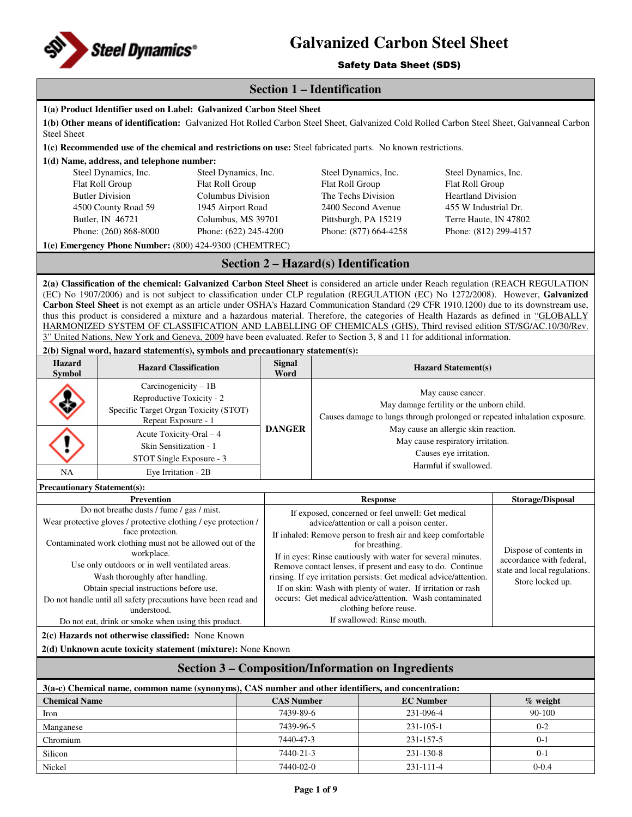

Safety Data Sheet (SDS)

## **Section 1 – Identification**

| <b>Steel Sheet</b>                                                                                                                                                                                                                                                                                                                                                                                                                                                                                                                                                                                                                                                                                                                                                                                                                                                                                | 1(a) Product Identifier used on Label: Galvanized Carbon Steel Sheet<br>1(b) Other means of identification: Galvanized Hot Rolled Carbon Steel Sheet, Galvanized Cold Rolled Carbon Steel Sheet, Galvanneal Carbon |  |                                                                                                          |                                                                                                                                             |                                                                                                                         |                                                                    |                                                    |
|---------------------------------------------------------------------------------------------------------------------------------------------------------------------------------------------------------------------------------------------------------------------------------------------------------------------------------------------------------------------------------------------------------------------------------------------------------------------------------------------------------------------------------------------------------------------------------------------------------------------------------------------------------------------------------------------------------------------------------------------------------------------------------------------------------------------------------------------------------------------------------------------------|--------------------------------------------------------------------------------------------------------------------------------------------------------------------------------------------------------------------|--|----------------------------------------------------------------------------------------------------------|---------------------------------------------------------------------------------------------------------------------------------------------|-------------------------------------------------------------------------------------------------------------------------|--------------------------------------------------------------------|----------------------------------------------------|
|                                                                                                                                                                                                                                                                                                                                                                                                                                                                                                                                                                                                                                                                                                                                                                                                                                                                                                   | 1(c) Recommended use of the chemical and restrictions on use: Steel fabricated parts. No known restrictions.                                                                                                       |  |                                                                                                          |                                                                                                                                             |                                                                                                                         |                                                                    |                                                    |
|                                                                                                                                                                                                                                                                                                                                                                                                                                                                                                                                                                                                                                                                                                                                                                                                                                                                                                   | 1(d) Name, address, and telephone number:                                                                                                                                                                          |  |                                                                                                          |                                                                                                                                             |                                                                                                                         |                                                                    |                                                    |
|                                                                                                                                                                                                                                                                                                                                                                                                                                                                                                                                                                                                                                                                                                                                                                                                                                                                                                   | Steel Dynamics, Inc.<br>Steel Dynamics, Inc.                                                                                                                                                                       |  |                                                                                                          | Steel Dynamics, Inc.                                                                                                                        |                                                                                                                         | Steel Dynamics, Inc.                                               |                                                    |
|                                                                                                                                                                                                                                                                                                                                                                                                                                                                                                                                                                                                                                                                                                                                                                                                                                                                                                   | Flat Roll Group<br>Flat Roll Group                                                                                                                                                                                 |  |                                                                                                          | Flat Roll Group                                                                                                                             |                                                                                                                         | Flat Roll Group                                                    |                                                    |
|                                                                                                                                                                                                                                                                                                                                                                                                                                                                                                                                                                                                                                                                                                                                                                                                                                                                                                   | <b>Butler Division</b><br>Columbus Division                                                                                                                                                                        |  |                                                                                                          | The Techs Division                                                                                                                          |                                                                                                                         | <b>Heartland Division</b>                                          |                                                    |
|                                                                                                                                                                                                                                                                                                                                                                                                                                                                                                                                                                                                                                                                                                                                                                                                                                                                                                   | 4500 County Road 59<br>1945 Airport Road                                                                                                                                                                           |  |                                                                                                          |                                                                                                                                             | 2400 Second Avenue                                                                                                      | 455 W Industrial Dr.                                               |                                                    |
|                                                                                                                                                                                                                                                                                                                                                                                                                                                                                                                                                                                                                                                                                                                                                                                                                                                                                                   | Butler, IN 46721<br>Columbus, MS 39701                                                                                                                                                                             |  |                                                                                                          |                                                                                                                                             | Pittsburgh, PA 15219                                                                                                    | Terre Haute, IN 47802                                              |                                                    |
|                                                                                                                                                                                                                                                                                                                                                                                                                                                                                                                                                                                                                                                                                                                                                                                                                                                                                                   | Phone: (622) 245-4200<br>Phone: (260) 868-8000                                                                                                                                                                     |  |                                                                                                          |                                                                                                                                             | Phone: (877) 664-4258                                                                                                   | Phone: (812) 299-4157                                              |                                                    |
|                                                                                                                                                                                                                                                                                                                                                                                                                                                                                                                                                                                                                                                                                                                                                                                                                                                                                                   | 1(e) Emergency Phone Number: (800) 424-9300 (CHEMTREC)                                                                                                                                                             |  |                                                                                                          |                                                                                                                                             |                                                                                                                         |                                                                    |                                                    |
|                                                                                                                                                                                                                                                                                                                                                                                                                                                                                                                                                                                                                                                                                                                                                                                                                                                                                                   |                                                                                                                                                                                                                    |  |                                                                                                          |                                                                                                                                             | Section 2 – Hazard(s) Identification                                                                                    |                                                                    |                                                    |
| 2(a) Classification of the chemical: Galvanized Carbon Steel Sheet is considered an article under Reach regulation (REACH REGULATION<br>(EC) No 1907/2006) and is not subject to classification under CLP regulation (REGULATION (EC) No 1272/2008). However, Galvanized<br>Carbon Steel Sheet is not exempt as an article under OSHA's Hazard Communication Standard (29 CFR 1910.1200) due to its downstream use,<br>thus this product is considered a mixture and a hazardous material. Therefore, the categories of Health Hazards as defined in "GLOBALLY<br>HARMONIZED SYSTEM OF CLASSIFICATION AND LABELLING OF CHEMICALS (GHS), Third revised edition ST/SG/AC.10/30/Rev.<br>3" United Nations, New York and Geneva, 2009 have been evaluated. Refer to Section 3, 8 and 11 for additional information.<br>2(b) Signal word, hazard statement(s), symbols and precautionary statement(s): |                                                                                                                                                                                                                    |  |                                                                                                          |                                                                                                                                             |                                                                                                                         |                                                                    |                                                    |
| Hazard<br><b>Symbol</b>                                                                                                                                                                                                                                                                                                                                                                                                                                                                                                                                                                                                                                                                                                                                                                                                                                                                           | <b>Hazard Classification</b>                                                                                                                                                                                       |  | <b>Signal</b><br>Word                                                                                    |                                                                                                                                             |                                                                                                                         | <b>Hazard Statement(s)</b>                                         |                                                    |
|                                                                                                                                                                                                                                                                                                                                                                                                                                                                                                                                                                                                                                                                                                                                                                                                                                                                                                   | Carcinogenicity $-1B$<br>Reproductive Toxicity - 2<br>Specific Target Organ Toxicity (STOT)                                                                                                                        |  |                                                                                                          | May cause cancer.<br>May damage fertility or the unborn child.<br>Causes damage to lungs through prolonged or repeated inhalation exposure. |                                                                                                                         |                                                                    |                                                    |
|                                                                                                                                                                                                                                                                                                                                                                                                                                                                                                                                                                                                                                                                                                                                                                                                                                                                                                   | Repeat Exposure - 1                                                                                                                                                                                                |  | <b>DANGER</b>                                                                                            |                                                                                                                                             |                                                                                                                         | May cause an allergic skin reaction.                               |                                                    |
|                                                                                                                                                                                                                                                                                                                                                                                                                                                                                                                                                                                                                                                                                                                                                                                                                                                                                                   | Acute Toxicity-Oral - 4                                                                                                                                                                                            |  |                                                                                                          | May cause respiratory irritation.                                                                                                           |                                                                                                                         |                                                                    |                                                    |
|                                                                                                                                                                                                                                                                                                                                                                                                                                                                                                                                                                                                                                                                                                                                                                                                                                                                                                   | Skin Sensitization - 1                                                                                                                                                                                             |  |                                                                                                          |                                                                                                                                             |                                                                                                                         | Causes eye irritation.                                             |                                                    |
|                                                                                                                                                                                                                                                                                                                                                                                                                                                                                                                                                                                                                                                                                                                                                                                                                                                                                                   | STOT Single Exposure - 3                                                                                                                                                                                           |  |                                                                                                          |                                                                                                                                             |                                                                                                                         | Harmful if swallowed.                                              |                                                    |
| NA                                                                                                                                                                                                                                                                                                                                                                                                                                                                                                                                                                                                                                                                                                                                                                                                                                                                                                | Eye Irritation - 2B                                                                                                                                                                                                |  |                                                                                                          |                                                                                                                                             |                                                                                                                         |                                                                    |                                                    |
| <b>Precautionary Statement(s):</b>                                                                                                                                                                                                                                                                                                                                                                                                                                                                                                                                                                                                                                                                                                                                                                                                                                                                |                                                                                                                                                                                                                    |  |                                                                                                          |                                                                                                                                             |                                                                                                                         |                                                                    |                                                    |
|                                                                                                                                                                                                                                                                                                                                                                                                                                                                                                                                                                                                                                                                                                                                                                                                                                                                                                   | Prevention<br>Do not breathe dusts / fume / gas / mist.                                                                                                                                                            |  | <b>Response</b>                                                                                          |                                                                                                                                             |                                                                                                                         | <b>Storage/Disposal</b>                                            |                                                    |
|                                                                                                                                                                                                                                                                                                                                                                                                                                                                                                                                                                                                                                                                                                                                                                                                                                                                                                   | Wear protective gloves / protective clothing / eye protection /                                                                                                                                                    |  | If exposed, concerned or feel unwell: Get medical                                                        |                                                                                                                                             |                                                                                                                         |                                                                    |                                                    |
|                                                                                                                                                                                                                                                                                                                                                                                                                                                                                                                                                                                                                                                                                                                                                                                                                                                                                                   | face protection.                                                                                                                                                                                                   |  | advice/attention or call a poison center.<br>If inhaled: Remove person to fresh air and keep comfortable |                                                                                                                                             |                                                                                                                         |                                                                    |                                                    |
|                                                                                                                                                                                                                                                                                                                                                                                                                                                                                                                                                                                                                                                                                                                                                                                                                                                                                                   | Contaminated work clothing must not be allowed out of the                                                                                                                                                          |  |                                                                                                          |                                                                                                                                             | for breathing.                                                                                                          |                                                                    |                                                    |
|                                                                                                                                                                                                                                                                                                                                                                                                                                                                                                                                                                                                                                                                                                                                                                                                                                                                                                   | workplace.                                                                                                                                                                                                         |  |                                                                                                          |                                                                                                                                             | If in eves: Rinse cautiously with water for several minutes.                                                            |                                                                    | Dispose of contents in<br>accordance with federal, |
|                                                                                                                                                                                                                                                                                                                                                                                                                                                                                                                                                                                                                                                                                                                                                                                                                                                                                                   | Use only outdoors or in well ventilated areas.                                                                                                                                                                     |  |                                                                                                          |                                                                                                                                             | Remove contact lenses, if present and easy to do. Continue                                                              |                                                                    | state and local regulations.                       |
|                                                                                                                                                                                                                                                                                                                                                                                                                                                                                                                                                                                                                                                                                                                                                                                                                                                                                                   | Wash thoroughly after handling.                                                                                                                                                                                    |  |                                                                                                          |                                                                                                                                             |                                                                                                                         | rinsing. If eye irritation persists: Get medical advice/attention. | Store locked up.                                   |
|                                                                                                                                                                                                                                                                                                                                                                                                                                                                                                                                                                                                                                                                                                                                                                                                                                                                                                   | Obtain special instructions before use.<br>Do not handle until all safety precautions have been read and                                                                                                           |  |                                                                                                          |                                                                                                                                             | If on skin: Wash with plenty of water. If irritation or rash<br>occurs: Get medical advice/attention. Wash contaminated |                                                                    |                                                    |
|                                                                                                                                                                                                                                                                                                                                                                                                                                                                                                                                                                                                                                                                                                                                                                                                                                                                                                   | understood.                                                                                                                                                                                                        |  |                                                                                                          |                                                                                                                                             | clothing before reuse.                                                                                                  |                                                                    |                                                    |
|                                                                                                                                                                                                                                                                                                                                                                                                                                                                                                                                                                                                                                                                                                                                                                                                                                                                                                   | Do not eat, drink or smoke when using this product.                                                                                                                                                                |  |                                                                                                          |                                                                                                                                             | If swallowed: Rinse mouth.                                                                                              |                                                                    |                                                    |
|                                                                                                                                                                                                                                                                                                                                                                                                                                                                                                                                                                                                                                                                                                                                                                                                                                                                                                   | 2(c) Hazards not otherwise classified: None Known                                                                                                                                                                  |  |                                                                                                          |                                                                                                                                             |                                                                                                                         |                                                                    |                                                    |
| 2(d) Unknown acute toxicity statement (mixture): None Known                                                                                                                                                                                                                                                                                                                                                                                                                                                                                                                                                                                                                                                                                                                                                                                                                                       |                                                                                                                                                                                                                    |  |                                                                                                          |                                                                                                                                             |                                                                                                                         |                                                                    |                                                    |
| <b>Section 3 - Composition/Information on Ingredients</b>                                                                                                                                                                                                                                                                                                                                                                                                                                                                                                                                                                                                                                                                                                                                                                                                                                         |                                                                                                                                                                                                                    |  |                                                                                                          |                                                                                                                                             |                                                                                                                         |                                                                    |                                                    |
|                                                                                                                                                                                                                                                                                                                                                                                                                                                                                                                                                                                                                                                                                                                                                                                                                                                                                                   | 3(a-c) Chemical name, common name (synonyms), CAS number and other identifiers, and concentration:                                                                                                                 |  |                                                                                                          |                                                                                                                                             |                                                                                                                         |                                                                    |                                                    |
| <b>Chemical Name</b>                                                                                                                                                                                                                                                                                                                                                                                                                                                                                                                                                                                                                                                                                                                                                                                                                                                                              |                                                                                                                                                                                                                    |  | <b>CAS Number</b>                                                                                        |                                                                                                                                             | <b>EC Number</b>                                                                                                        |                                                                    | $%$ weight                                         |
| Iron                                                                                                                                                                                                                                                                                                                                                                                                                                                                                                                                                                                                                                                                                                                                                                                                                                                                                              |                                                                                                                                                                                                                    |  | 7439-89-6                                                                                                |                                                                                                                                             |                                                                                                                         | 231-096-4                                                          | 90-100                                             |
| Manganese                                                                                                                                                                                                                                                                                                                                                                                                                                                                                                                                                                                                                                                                                                                                                                                                                                                                                         |                                                                                                                                                                                                                    |  | 7439-96-5                                                                                                |                                                                                                                                             | 231-105-1                                                                                                               |                                                                    | $0 - 2$                                            |
| Chromium                                                                                                                                                                                                                                                                                                                                                                                                                                                                                                                                                                                                                                                                                                                                                                                                                                                                                          |                                                                                                                                                                                                                    |  | 7440-47-3                                                                                                |                                                                                                                                             |                                                                                                                         | 231-157-5                                                          | $0 - 1$                                            |
| Silicon                                                                                                                                                                                                                                                                                                                                                                                                                                                                                                                                                                                                                                                                                                                                                                                                                                                                                           |                                                                                                                                                                                                                    |  | 7440-21-3                                                                                                |                                                                                                                                             |                                                                                                                         | 231-130-8                                                          | $0 - 1$                                            |
| Nickel                                                                                                                                                                                                                                                                                                                                                                                                                                                                                                                                                                                                                                                                                                                                                                                                                                                                                            |                                                                                                                                                                                                                    |  | 7440-02-0                                                                                                |                                                                                                                                             |                                                                                                                         | 231-111-4                                                          | $0 - 0.4$                                          |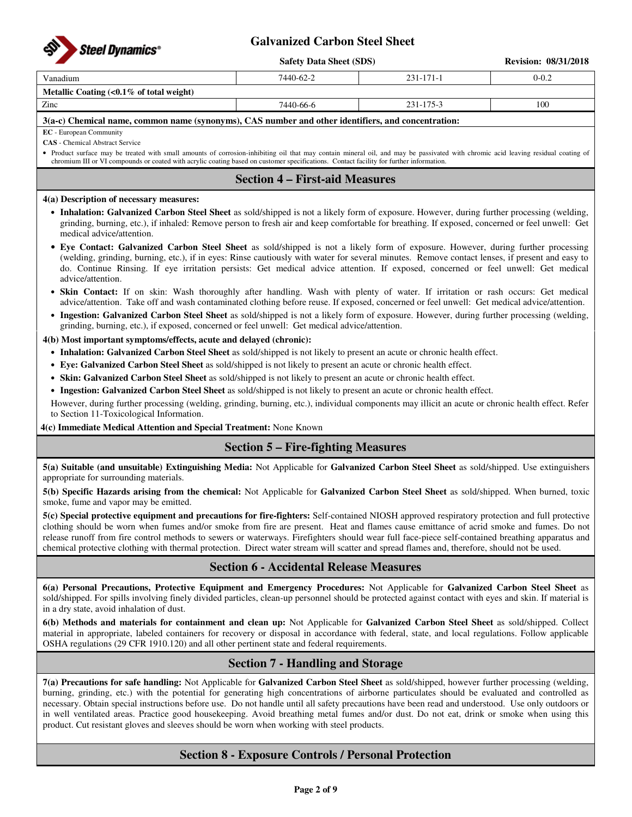

|                                                   | <b>Safety Data Sheet (SDS)</b> |                 | <b>Revision: 08/31/2018</b> |
|---------------------------------------------------|--------------------------------|-----------------|-----------------------------|
| Vanadium                                          | 7440-62-2                      | $231 - 171 - 1$ | $0 - 0.2$                   |
| Metallic Coating $\langle 0.1\%$ of total weight) |                                |                 |                             |
| Zinc                                              | 7440-66-6                      | 231-175-3       | 100                         |
| $\mathcal{A} \rightarrow \mathcal{A}$             |                                |                 |                             |

#### **3(a-c) Chemical name, common name (synonyms), CAS number and other identifiers, and concentration:**

**EC** - European Community

**CAS** - Chemical Abstract Service

• Product surface may be treated with small amounts of corrosion-inhibiting oil that may contain mineral oil, and may be passivated with chromic acid leaving residual coating of chromium III or VI compounds or coated with acrylic coating based on customer specifications. Contact facility for further information.

### **Section 4 – First-aid Measures**

#### **4(a) Description of necessary measures:**

- **Inhalation: Galvanized Carbon Steel Sheet** as sold/shipped is not a likely form of exposure. However, during further processing (welding, grinding, burning, etc.), if inhaled: Remove person to fresh air and keep comfortable for breathing. If exposed, concerned or feel unwell: Get medical advice/attention.
- **Eye Contact: Galvanized Carbon Steel Sheet** as sold/shipped is not a likely form of exposure. However, during further processing (welding, grinding, burning, etc.), if in eyes: Rinse cautiously with water for several minutes. Remove contact lenses, if present and easy to do. Continue Rinsing. If eye irritation persists: Get medical advice attention. If exposed, concerned or feel unwell: Get medical advice/attention.
- **Skin Contact:** If on skin: Wash thoroughly after handling. Wash with plenty of water. If irritation or rash occurs: Get medical advice/attention. Take off and wash contaminated clothing before reuse. If exposed, concerned or feel unwell: Get medical advice/attention.
- **Ingestion: Galvanized Carbon Steel Sheet** as sold/shipped is not a likely form of exposure. However, during further processing (welding, grinding, burning, etc.), if exposed, concerned or feel unwell: Get medical advice/attention.

**4(b) Most important symptoms/effects, acute and delayed (chronic):** 

- **Inhalation: Galvanized Carbon Steel Sheet** as sold/shipped is not likely to present an acute or chronic health effect.
- **Eye: Galvanized Carbon Steel Sheet** as sold/shipped is not likely to present an acute or chronic health effect.
- **Skin: Galvanized Carbon Steel Sheet** as sold/shipped is not likely to present an acute or chronic health effect.
- **Ingestion: Galvanized Carbon Steel Sheet** as sold/shipped is not likely to present an acute or chronic health effect.

However, during further processing (welding, grinding, burning, etc.), individual components may illicit an acute or chronic health effect. Refer to Section 11-Toxicological Information.

**4(c) Immediate Medical Attention and Special Treatment:** None Known

### **Section 5 – Fire-fighting Measures**

**5(a) Suitable (and unsuitable) Extinguishing Media:** Not Applicable for **Galvanized Carbon Steel Sheet** as sold/shipped. Use extinguishers appropriate for surrounding materials.

**5(b) Specific Hazards arising from the chemical:** Not Applicable for **Galvanized Carbon Steel Sheet** as sold/shipped. When burned, toxic smoke, fume and vapor may be emitted.

**5(c) Special protective equipment and precautions for fire-fighters:** Self-contained NIOSH approved respiratory protection and full protective clothing should be worn when fumes and/or smoke from fire are present. Heat and flames cause emittance of acrid smoke and fumes. Do not release runoff from fire control methods to sewers or waterways. Firefighters should wear full face-piece self-contained breathing apparatus and chemical protective clothing with thermal protection. Direct water stream will scatter and spread flames and, therefore, should not be used.

### **Section 6 - Accidental Release Measures**

**6(a) Personal Precautions, Protective Equipment and Emergency Procedures:** Not Applicable for **Galvanized Carbon Steel Sheet** as sold/shipped. For spills involving finely divided particles, clean-up personnel should be protected against contact with eyes and skin. If material is in a dry state, avoid inhalation of dust.

**6(b) Methods and materials for containment and clean up:** Not Applicable for **Galvanized Carbon Steel Sheet** as sold/shipped. Collect material in appropriate, labeled containers for recovery or disposal in accordance with federal, state, and local regulations. Follow applicable OSHA regulations (29 CFR 1910.120) and all other pertinent state and federal requirements.

### **Section 7 - Handling and Storage**

**7(a) Precautions for safe handling:** Not Applicable for **Galvanized Carbon Steel Sheet** as sold/shipped, however further processing (welding, burning, grinding, etc.) with the potential for generating high concentrations of airborne particulates should be evaluated and controlled as necessary. Obtain special instructions before use. Do not handle until all safety precautions have been read and understood. Use only outdoors or in well ventilated areas. Practice good housekeeping. Avoid breathing metal fumes and/or dust. Do not eat, drink or smoke when using this product. Cut resistant gloves and sleeves should be worn when working with steel products.

### **Section 8 - Exposure Controls / Personal Protection**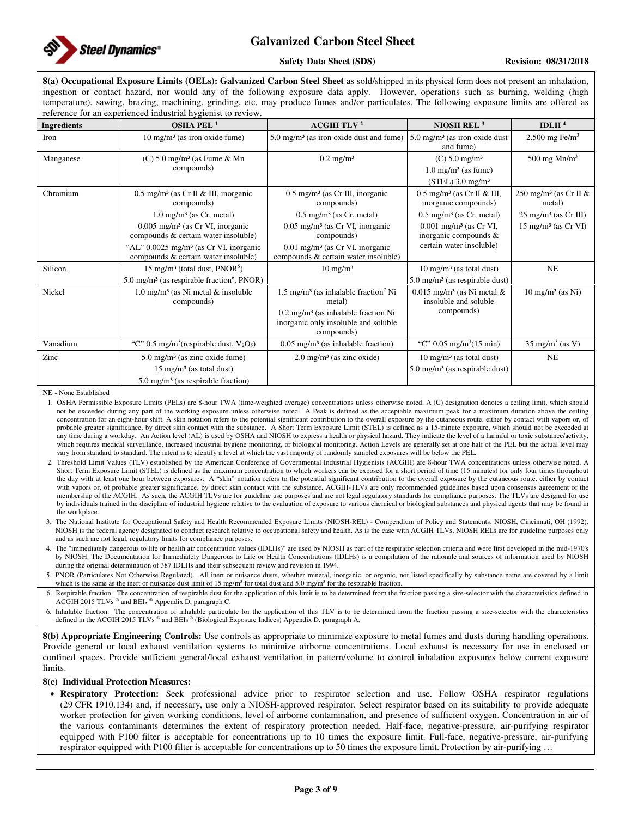

#### **Safety Data Sheet (SDS)** Revision: 08/31/2018

**8(a) Occupational Exposure Limits (OELs): Galvanized Carbon Steel Sheet** as sold/shipped in its physical form does not present an inhalation, ingestion or contact hazard, nor would any of the following exposure data apply. However, operations such as burning, welding (high temperature), sawing, brazing, machining, grinding, etc. may produce fumes and/or particulates. The following exposure limits are offered as reference for an experienced industrial hygienist to review.

| reference for an experienced industrial hygiemst to review. |                                                                                                                                      |                                                                                                                                                                               |                                                                                                 |                                               |  |  |  |
|-------------------------------------------------------------|--------------------------------------------------------------------------------------------------------------------------------------|-------------------------------------------------------------------------------------------------------------------------------------------------------------------------------|-------------------------------------------------------------------------------------------------|-----------------------------------------------|--|--|--|
| <b>Ingredients</b>                                          | OSHA PEL $1$                                                                                                                         | <b>ACGIH TLV<sup>2</sup></b>                                                                                                                                                  | NIOSH REL $3$                                                                                   | IDLH $4$                                      |  |  |  |
| Iron                                                        | $10 \text{ mg/m}^3$ (as iron oxide fume)                                                                                             | $5.0 \text{ mg/m}^3$ (as iron oxide dust and fume)                                                                                                                            | $5.0 \text{ mg/m}^3$ (as iron oxide dust<br>and fume)                                           | $2,500$ mg Fe/m <sup>3</sup>                  |  |  |  |
| Manganese                                                   | $(C)$ 5.0 mg/m <sup>3</sup> (as Fume & Mn<br>compounds)                                                                              | $0.2$ mg/m <sup>3</sup>                                                                                                                                                       | $(C) 5.0$ mg/m <sup>3</sup><br>$1.0 \text{ mg/m}^3$ (as fume)<br>$(STEL)$ 3.0 mg/m <sup>3</sup> | 500 mg $Mn/m^3$                               |  |  |  |
| Chromium                                                    | $0.5 \text{ mg/m}^3$ (as Cr II & III, inorganic<br>compounds)                                                                        | $0.5$ mg/m <sup>3</sup> (as Cr III, inorganic<br>compounds)                                                                                                                   | $0.5$ mg/m <sup>3</sup> (as Cr II & III,<br>inorganic compounds)                                | 250 mg/m <sup>3</sup> (as Cr II $&$<br>metal) |  |  |  |
|                                                             | $1.0 \text{ mg/m}^3$ (as Cr, metal)                                                                                                  | $0.5 \text{ mg/m}^3$ (as Cr, metal)                                                                                                                                           | $0.5$ mg/m <sup>3</sup> (as Cr, metal)                                                          | $25 \text{ mg/m}^3$ (as Cr III)               |  |  |  |
|                                                             | $0.005$ mg/m <sup>3</sup> (as Cr VI, inorganic<br>compounds & certain water insoluble)                                               | $0.05$ mg/m <sup>3</sup> (as Cr VI, inorganic<br>compounds)                                                                                                                   | $0.001$ mg/m <sup>3</sup> (as Cr VI,<br>inorganic compounds &                                   | $15 \text{ mg/m}^3$ (as Cr VI)                |  |  |  |
|                                                             | "AL" $0.0025$ mg/m <sup>3</sup> (as Cr VI, inorganic<br>compounds & certain water insoluble)                                         | $0.01$ mg/m <sup>3</sup> (as Cr VI, inorganic<br>compounds & certain water insoluble)                                                                                         | certain water insoluble)                                                                        |                                               |  |  |  |
| Silicon                                                     | $15 \text{ mg/m}^3$ (total dust, PNOR <sup>5</sup> )                                                                                 | $10 \text{ mg/m}^3$                                                                                                                                                           | $10 \text{ mg/m}^3$ (as total dust)                                                             | NE                                            |  |  |  |
|                                                             | 5.0 mg/m <sup>3</sup> (as respirable fraction <sup>6</sup> , PNOR)                                                                   |                                                                                                                                                                               | $5.0 \text{ mg/m}^3$ (as respirable dust)                                                       |                                               |  |  |  |
| Nickel                                                      | $1.0 \text{ mg/m}^3$ (as Ni metal & insoluble<br>compounds)                                                                          | $1.5 \text{ mg/m}^3$ (as inhalable fraction <sup>7</sup> Ni<br>metal)<br>$0.2 \text{ mg/m}^3$ (as inhalable fraction Ni<br>inorganic only insoluble and soluble<br>compounds) | $0.015$ mg/m <sup>3</sup> (as Ni metal &<br>insoluble and soluble<br>compounds)                 | $10 \text{ mg/m}^3$ (as Ni)                   |  |  |  |
| Vanadium                                                    | "C" 0.5 mg/m <sup>3</sup> (respirable dust, $V_2O_5$ )                                                                               | $0.05$ mg/m <sup>3</sup> (as inhalable fraction)                                                                                                                              | "C" 0.05 mg/m <sup>3</sup> (15 min)                                                             | $35 \text{ mg/m}^3$ (as V)                    |  |  |  |
| Zinc                                                        | $5.0$ mg/m <sup>3</sup> (as zinc oxide fume)<br>$15 \text{ mg/m}^3$ (as total dust)<br>$5.0 \text{ mg/m}^3$ (as respirable fraction) | $2.0 \text{ mg/m}^3$ (as zinc oxide)                                                                                                                                          | $10 \text{ mg/m}^3$ (as total dust)<br>$5.0 \text{ mg/m}^3$ (as respirable dust)                | NE                                            |  |  |  |

**NE -** None Established

1. OSHA Permissible Exposure Limits (PELs) are 8-hour TWA (time-weighted average) concentrations unless otherwise noted. A (C) designation denotes a ceiling limit, which should not be exceeded during any part of the working exposure unless otherwise noted. A Peak is defined as the acceptable maximum peak for a maximum duration above the ceiling concentration for an eight-hour shift. A skin notation refers to the potential significant contribution to the overall exposure by the cutaneous route, either by contact with vapors or, of probable greater significance, by direct skin contact with the substance. A Short Term Exposure Limit (STEL) is defined as a 15-minute exposure, which should not be exceeded at any time during a workday. An Action level (AL) is used by OSHA and NIOSH to express a health or physical hazard. They indicate the level of a harmful or toxic substance/activity, which requires medical surveillance, increased industrial hygiene monitoring, or biological monitoring. Action Levels are generally set at one half of the PEL but the actual level may vary from standard to standard. The intent is to identify a level at which the vast majority of randomly sampled exposures will be below the PEL.

- 2. Threshold Limit Values (TLV) established by the American Conference of Governmental Industrial Hygienists (ACGIH) are 8-hour TWA concentrations unless otherwise noted. A Short Term Exposure Limit (STEL) is defined as the maximum concentration to which workers can be exposed for a short period of time (15 minutes) for only four times throughout the day with at least one hour between exposures. A "skin" notation refers to the potential significant contribution to the overall exposure by the cutaneous route, either by contact with vapors or, of probable greater significance, by direct skin contact with the substance. ACGIH-TLVs are only recommended guidelines based upon consensus agreement of the membership of the ACGIH. As such, the ACGIH TLVs are for guideline use purposes and are not legal regulatory standards for compliance purposes. The TLVs are designed for use by individuals trained in the discipline of industrial hygiene relative to the evaluation of exposure to various chemical or biological substances and physical agents that may be found in the workplace.
- 3. The National Institute for Occupational Safety and Health Recommended Exposure Limits (NIOSH-REL) Compendium of Policy and Statements. NIOSH, Cincinnati, OH (1992). NIOSH is the federal agency designated to conduct research relative to occupational safety and health. As is the case with ACGIH TLVs, NIOSH RELs are for guideline purposes only and as such are not legal, regulatory limits for compliance purposes.

4. The "immediately dangerous to life or health air concentration values (IDLHs)" are used by NIOSH as part of the respirator selection criteria and were first developed in the mid-1970's by NIOSH. The Documentation for Immediately Dangerous to Life or Health Concentrations (IDLHs) is a compilation of the rationale and sources of information used by NIOSH during the original determination of 387 IDLHs and their subsequent review and revision in 1994.

5. PNOR (Particulates Not Otherwise Regulated). All inert or nuisance dusts, whether mineral, inorganic, or organic, not listed specifically by substance name are covered by a limit which is the same as the inert or nuisance dust limit of 15 mg/m<sup>3</sup> for total dust and 5.0 mg/m<sup>3</sup> for the respirable fraction.

6. Respirable fraction. The concentration of respirable dust for the application of this limit is to be determined from the fraction passing a size-selector with the characteristics defined in ACGIH 2015 TLVs ® and BEIs ® Appendix D, paragraph C.

6. Inhalable fraction. The concentration of inhalable particulate for the application of this TLV is to be determined from the fraction passing a size-selector with the characteristics defined in the ACGIH 2015 TLVs ® and BEIs ® (Biological Exposure Indices) Appendix D, paragraph A

**8(b) Appropriate Engineering Controls:** Use controls as appropriate to minimize exposure to metal fumes and dusts during handling operations. Provide general or local exhaust ventilation systems to minimize airborne concentrations. Local exhaust is necessary for use in enclosed or confined spaces. Provide sufficient general/local exhaust ventilation in pattern/volume to control inhalation exposures below current exposure limits.

#### **8(c) Individual Protection Measures:**

• **Respiratory Protection:** Seek professional advice prior to respirator selection and use. Follow OSHA respirator regulations (29 CFR 1910.134) and, if necessary, use only a NIOSH-approved respirator. Select respirator based on its suitability to provide adequate worker protection for given working conditions, level of airborne contamination, and presence of sufficient oxygen. Concentration in air of the various contaminants determines the extent of respiratory protection needed. Half-face, negative-pressure, air-purifying respirator equipped with P100 filter is acceptable for concentrations up to 10 times the exposure limit. Full-face, negative-pressure, air-purifying respirator equipped with P100 filter is acceptable for concentrations up to 50 times the exposure limit. Protection by air-purifying …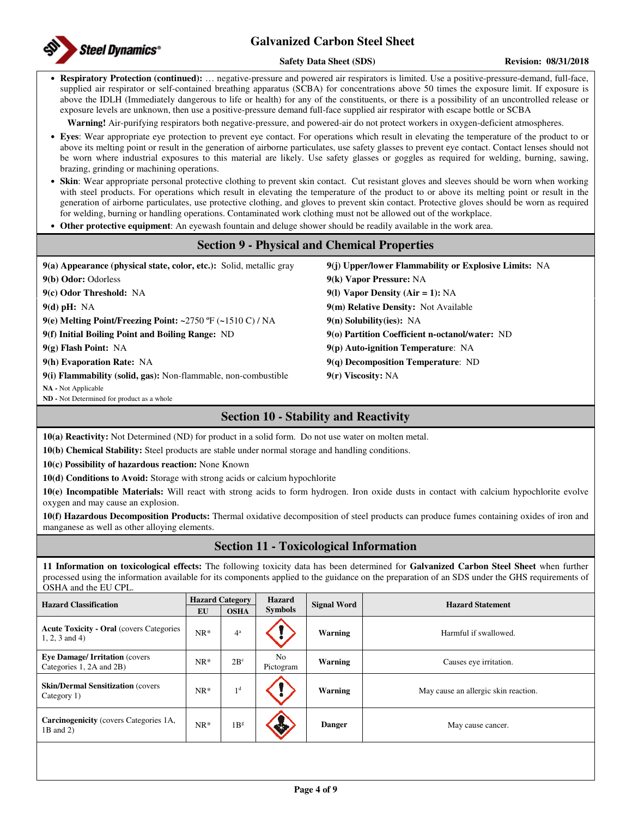

#### **Safety Data Sheet (SDS) Revision: 08/31/2018**

• **Respiratory Protection (continued):** … negative-pressure and powered air respirators is limited. Use a positive-pressure-demand, full-face, supplied air respirator or self-contained breathing apparatus (SCBA) for concentrations above 50 times the exposure limit. If exposure is above the IDLH (Immediately dangerous to life or health) for any of the constituents, or there is a possibility of an uncontrolled release or exposure levels are unknown, then use a positive-pressure demand full-face supplied air respirator with escape bottle or SCBA

**Warning!** Air-purifying respirators both negative-pressure, and powered-air do not protect workers in oxygen-deficient atmospheres.

- **Eyes**: Wear appropriate eye protection to prevent eye contact. For operations which result in elevating the temperature of the product to or above its melting point or result in the generation of airborne particulates, use safety glasses to prevent eye contact. Contact lenses should not be worn where industrial exposures to this material are likely. Use safety glasses or goggles as required for welding, burning, sawing, brazing, grinding or machining operations.
- **Skin**: Wear appropriate personal protective clothing to prevent skin contact. Cut resistant gloves and sleeves should be worn when working with steel products. For operations which result in elevating the temperature of the product to or above its melting point or result in the generation of airborne particulates, use protective clothing, and gloves to prevent skin contact. Protective gloves should be worn as required for welding, burning or handling operations. Contaminated work clothing must not be allowed out of the workplace.
- **Other protective equipment**: An eyewash fountain and deluge shower should be readily available in the work area.

### **Section 9 - Physical and Chemical Properties**

| $9(a)$ Appearance (physical state, color, etc.): Solid, metallic gray | 9(i) Upper/lower Flammability or Explosive Limits: NA |
|-----------------------------------------------------------------------|-------------------------------------------------------|
| 9(b) Odor: Odorless                                                   | 9(k) Vapor Pressure: NA                               |
| 9(c) Odor Threshold: NA                                               | 9(1) Vapor Density (Air = 1): $NA$                    |
| $9(d)$ pH: NA                                                         | 9(m) Relative Density: Not Available                  |
| 9(e) Melting Point/Freezing Point: ~2750 $\rm{F}$ (~1510 C) / NA      | $9(n)$ Solubility(ies): NA                            |
| 9(f) Initial Boiling Point and Boiling Range: ND                      | 9(o) Partition Coefficient n-octanol/water: ND        |
| $9(g)$ Flash Point: NA                                                | $9(p)$ Auto-ignition Temperature: NA                  |
| 9(h) Evaporation Rate: NA                                             | $9(q)$ Decomposition Temperature: ND                  |
| 9(i) Flammability (solid, gas): Non-flammable, non-combustible        | $9(r)$ Viscosity: NA                                  |
| <b>NA</b> - Not Applicable                                            |                                                       |
| <b>ND</b> - Not Determined for product as a whole                     |                                                       |

### **Section 10 - Stability and Reactivity**

**10(a) Reactivity:** Not Determined (ND) for product in a solid form. Do not use water on molten metal.

**10(b) Chemical Stability:** Steel products are stable under normal storage and handling conditions.

**10(c) Possibility of hazardous reaction:** None Known

**10(d) Conditions to Avoid:** Storage with strong acids or calcium hypochlorite

**10(e) Incompatible Materials:** Will react with strong acids to form hydrogen. Iron oxide dusts in contact with calcium hypochlorite evolve oxygen and may cause an explosion.

**10(f) Hazardous Decomposition Products:** Thermal oxidative decomposition of steel products can produce fumes containing oxides of iron and manganese as well as other alloying elements.

### **Section 11 - Toxicological Information**

**11 Information on toxicological effects:** The following toxicity data has been determined for **Galvanized Carbon Steel Sheet** when further processed using the information available for its components applied to the guidance on the preparation of an SDS under the GHS requirements of OSHA and the EU CPL.

| <b>Hazard Classification</b>                                         | <b>Hazard Category</b> |                 | Hazard          | <b>Signal Word</b> | <b>Hazard Statement</b>              |  |
|----------------------------------------------------------------------|------------------------|-----------------|-----------------|--------------------|--------------------------------------|--|
|                                                                      | EU                     | <b>OSHA</b>     | <b>Symbols</b>  |                    |                                      |  |
| <b>Acute Toxicity - Oral (covers Categories)</b><br>$1, 2, 3$ and 4) | $NR*$                  | 4 <sup>a</sup>  |                 | Warning            | Harmful if swallowed.                |  |
| <b>Eye Damage/Irritation (covers)</b><br>Categories 1, 2A and 2B)    | $NR*$                  | $2B^c$          | No<br>Pictogram | Warning            | Causes eye irritation.               |  |
| <b>Skin/Dermal Sensitization (covers)</b><br>Category 1)             | $NR*$                  | 1 <sup>d</sup>  |                 | Warning            | May cause an allergic skin reaction. |  |
| <b>Carcinogenicity</b> (covers Categories 1A,<br>$1B$ and $2)$       | $NR*$                  | 1B <sup>g</sup> | ેજ              | <b>Danger</b>      | May cause cancer.                    |  |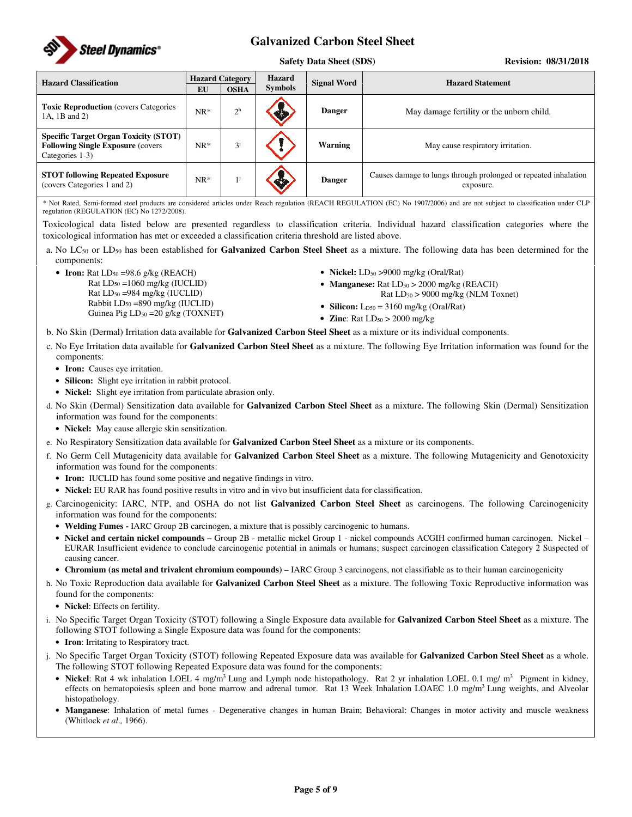

#### **Safety Data Sheet (SDS)** Revision: 08/31/2018

| <b>Hazard Classification</b>                                                                                 | <b>Hazard Category</b> |                | <b>Hazard</b><br><b>Signal Word</b> | <b>Hazard Statement</b> |                                                                              |  |
|--------------------------------------------------------------------------------------------------------------|------------------------|----------------|-------------------------------------|-------------------------|------------------------------------------------------------------------------|--|
|                                                                                                              | EU                     | <b>OSHA</b>    | <b>Symbols</b>                      |                         |                                                                              |  |
| <b>Toxic Reproduction</b> (covers Categories)<br>1A, 1B and 2)                                               | $NR*$                  | 2 <sup>h</sup> |                                     | <b>Danger</b>           | May damage fertility or the unborn child.                                    |  |
| <b>Specific Target Organ Toxicity (STOT)</b><br><b>Following Single Exposure (covers)</b><br>Categories 1-3) | $NR*$                  | $3^{i}$        |                                     | Warning                 | May cause respiratory irritation.                                            |  |
| <b>STOT following Repeated Exposure</b><br>(covers Categories 1 and 2)                                       | $NR*$                  |                |                                     | <b>Danger</b>           | Causes damage to lungs through prolonged or repeated inhalation<br>exposure. |  |

\* Not Rated, Semi-formed steel products are considered articles under Reach regulation (REACH REGULATION (EC) No 1907/2006) and are not subject to classification under CLP regulation (REGULATION (EC) No 1272/2008).

Toxicological data listed below are presented regardless to classification criteria. Individual hazard classification categories where the toxicological information has met or exceeded a classification criteria threshold are listed above.

a. No LC50 or LD50 has been established for **Galvanized Carbon Steel Sheet** as a mixture. The following data has been determined for the components:

• **Iron:** Rat LD<sub>50</sub> =98.6 g/kg (REACH)

Rat LD50 =1060 mg/kg (IUCLID) Rat LD50 =984 mg/kg (IUCLID) Rabbit LD50 =890 mg/kg (IUCLID) Guinea Pig  $LD_{50} = 20$  g/kg (TOXNET)

- **Nickel:** LD<sub>50</sub> > 9000 mg/kg (Oral/Rat)
- **Manganese:** Rat  $LD_{50} > 2000$  mg/kg (REACH) Rat  $LD_{50}$  > 9000 mg/kg (NLM Toxnet)
- **Silicon:**  $L_{D50} = 3160$  mg/kg (Oral/Rat)
- **Zinc**: Rat  $LD_{50} > 2000$  mg/kg

b. No Skin (Dermal) Irritation data available for **Galvanized Carbon Steel Sheet** as a mixture or its individual components.

- c. No Eye Irritation data available for **Galvanized Carbon Steel Sheet** as a mixture. The following Eye Irritation information was found for the components:
	- **Iron:** Causes eye irritation.
	- **Silicon:** Slight eye irritation in rabbit protocol.
	- **Nickel:** Slight eye irritation from particulate abrasion only.
- d. No Skin (Dermal) Sensitization data available for **Galvanized Carbon Steel Sheet** as a mixture. The following Skin (Dermal) Sensitization information was found for the components:
	- **Nickel:** May cause allergic skin sensitization.
- e. No Respiratory Sensitization data available for **Galvanized Carbon Steel Sheet** as a mixture or its components.
- f. No Germ Cell Mutagenicity data available for **Galvanized Carbon Steel Sheet** as a mixture. The following Mutagenicity and Genotoxicity information was found for the components:
	- **Iron:** IUCLID has found some positive and negative findings in vitro.
	- **Nickel:** EU RAR has found positive results in vitro and in vivo but insufficient data for classification.

g. Carcinogenicity: IARC, NTP, and OSHA do not list **Galvanized Carbon Steel Sheet** as carcinogens. The following Carcinogenicity information was found for the components:

- **Welding Fumes -** IARC Group 2B carcinogen, a mixture that is possibly carcinogenic to humans.
- Nickel and certain nickel compounds Group 2B metallic nickel Group 1 nickel compounds ACGIH confirmed human carcinogen. Nickel EURAR Insufficient evidence to conclude carcinogenic potential in animals or humans; suspect carcinogen classification Category 2 Suspected of causing cancer.
- **Chromium (as metal and trivalent chromium compounds)**  IARC Group 3 carcinogens, not classifiable as to their human carcinogenicity
- h. No Toxic Reproduction data available for **Galvanized Carbon Steel Sheet** as a mixture. The following Toxic Reproductive information was found for the components:
	- **Nickel**: Effects on fertility.
- i. No Specific Target Organ Toxicity (STOT) following a Single Exposure data available for **Galvanized Carbon Steel Sheet** as a mixture. The following STOT following a Single Exposure data was found for the components:
	- **Iron**: Irritating to Respiratory tract.
- j. No Specific Target Organ Toxicity (STOT) following Repeated Exposure data was available for **Galvanized Carbon Steel Sheet** as a whole. The following STOT following Repeated Exposure data was found for the components:
	- Nickel: Rat 4 wk inhalation LOEL 4 mg/m<sup>3</sup> Lung and Lymph node histopathology. Rat 2 yr inhalation LOEL 0.1 mg/ m<sup>3</sup> Pigment in kidney, effects on hematopoiesis spleen and bone marrow and adrenal tumor. Rat 13 Week Inhalation LOAEC 1.0 mg/m<sup>3</sup> Lung weights, and Alveolar histopathology.
	- **Manganese**: Inhalation of metal fumes Degenerative changes in human Brain; Behavioral: Changes in motor activity and muscle weakness (Whitlock *et al.,* 1966).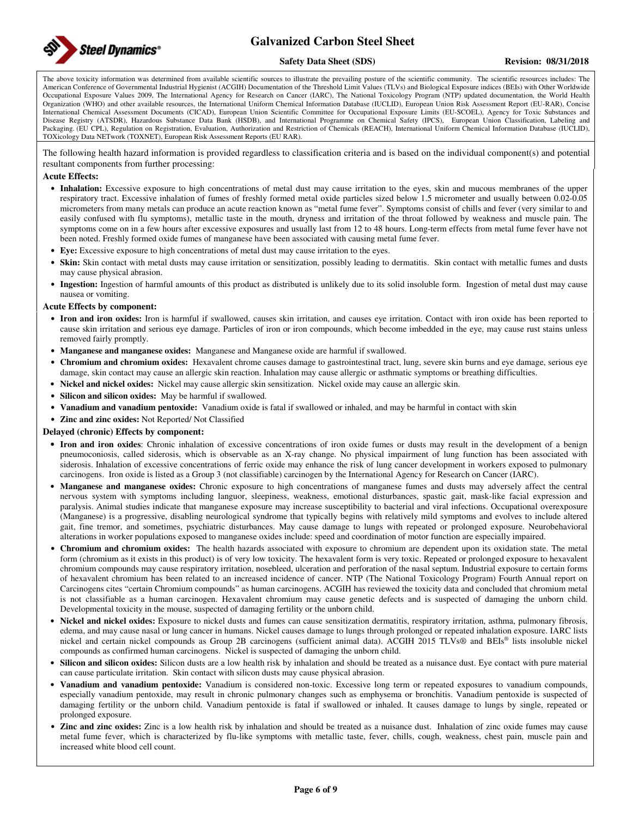

#### **Safety Data Sheet (SDS)** Revision: 08/31/2018

The above toxicity information was determined from available scientific sources to illustrate the prevailing posture of the scientific community. The scientific resources includes: The American Conference of Governmental Industrial Hygienist (ACGIH) Documentation of the Threshold Limit Values (TLVs) and Biological Exposure indices (BEIs) with Other Worldwide Occupational Exposure Values 2009, The International Agency for Research on Cancer (IARC), The National Toxicology Program (NTP) updated documentation, the World Health Organization (WHO) and other available resources, the International Uniform Chemical Information Database (IUCLID), European Union Risk Assessment Report (EU-RAR), Concise International Chemical Assessment Documents (CICAD), European Union Scientific Committee for Occupational Exposure Limits (EU-SCOEL), Agency for Toxic Substances and Disease Registry (ATSDR), Hazardous Substance Data Bank (HSDB), and International Programme on Chemical Safety (IPCS), European Union Classification, Labeling and Packaging. (EU CPL), Regulation on Registration, Evaluation, Authorization and Restriction of Chemicals (REACH), International Uniform Chemical Information Database (IUCLID), TOXicology Data NETwork (TOXNET), European Risk Assessment Reports (EU RAR).

The following health hazard information is provided regardless to classification criteria and is based on the individual component(s) and potential resultant components from further processing:

#### **Acute Effects:**

- **Inhalation:** Excessive exposure to high concentrations of metal dust may cause irritation to the eyes, skin and mucous membranes of the upper respiratory tract. Excessive inhalation of fumes of freshly formed metal oxide particles sized below 1.5 micrometer and usually between 0.02-0.05 micrometers from many metals can produce an acute reaction known as "metal fume fever". Symptoms consist of chills and fever (very similar to and easily confused with flu symptoms), metallic taste in the mouth, dryness and irritation of the throat followed by weakness and muscle pain. The symptoms come on in a few hours after excessive exposures and usually last from 12 to 48 hours. Long-term effects from metal fume fever have not been noted. Freshly formed oxide fumes of manganese have been associated with causing metal fume fever.
- **Eye:** Excessive exposure to high concentrations of metal dust may cause irritation to the eyes.
- **Skin:** Skin contact with metal dusts may cause irritation or sensitization, possibly leading to dermatitis. Skin contact with metallic fumes and dusts may cause physical abrasion.
- **Ingestion:** Ingestion of harmful amounts of this product as distributed is unlikely due to its solid insoluble form. Ingestion of metal dust may cause nausea or vomiting.

#### **Acute Effects by component:**

- **Iron and iron oxides:** Iron is harmful if swallowed, causes skin irritation, and causes eye irritation. Contact with iron oxide has been reported to cause skin irritation and serious eye damage. Particles of iron or iron compounds, which become imbedded in the eye, may cause rust stains unless removed fairly promptly.
- **Manganese and manganese oxides:** Manganese and Manganese oxide are harmful if swallowed.
- **Chromium and chromium oxides:** Hexavalent chrome causes damage to gastrointestinal tract, lung, severe skin burns and eye damage, serious eye damage, skin contact may cause an allergic skin reaction. Inhalation may cause allergic or asthmatic symptoms or breathing difficulties.
- **Nickel and nickel oxides:** Nickel may cause allergic skin sensitization. Nickel oxide may cause an allergic skin.
- **Silicon and silicon oxides:** May be harmful if swallowed.
- **Vanadium and vanadium pentoxide:** Vanadium oxide is fatal if swallowed or inhaled, and may be harmful in contact with skin
- **Zinc and zinc oxides:** Not Reported/ Not Classified

#### **Delayed (chronic) Effects by component:**

- **Iron and iron oxides**: Chronic inhalation of excessive concentrations of iron oxide fumes or dusts may result in the development of a benign pneumoconiosis, called siderosis, which is observable as an X-ray change. No physical impairment of lung function has been associated with siderosis. Inhalation of excessive concentrations of ferric oxide may enhance the risk of lung cancer development in workers exposed to pulmonary carcinogens. Iron oxide is listed as a Group 3 (not classifiable) carcinogen by the International Agency for Research on Cancer (IARC).
- **Manganese and manganese oxides:** Chronic exposure to high concentrations of manganese fumes and dusts may adversely affect the central nervous system with symptoms including languor, sleepiness, weakness, emotional disturbances, spastic gait, mask-like facial expression and paralysis. Animal studies indicate that manganese exposure may increase susceptibility to bacterial and viral infections. Occupational overexposure (Manganese) is a progressive, disabling neurological syndrome that typically begins with relatively mild symptoms and evolves to include altered gait, fine tremor, and sometimes, psychiatric disturbances. May cause damage to lungs with repeated or prolonged exposure. Neurobehavioral alterations in worker populations exposed to manganese oxides include: speed and coordination of motor function are especially impaired.
- **Chromium and chromium oxides:** The health hazards associated with exposure to chromium are dependent upon its oxidation state. The metal form (chromium as it exists in this product) is of very low toxicity. The hexavalent form is very toxic. Repeated or prolonged exposure to hexavalent chromium compounds may cause respiratory irritation, nosebleed, ulceration and perforation of the nasal septum. Industrial exposure to certain forms of hexavalent chromium has been related to an increased incidence of cancer. NTP (The National Toxicology Program) Fourth Annual report on Carcinogens cites "certain Chromium compounds" as human carcinogens. ACGIH has reviewed the toxicity data and concluded that chromium metal is not classifiable as a human carcinogen. Hexavalent chromium may cause genetic defects and is suspected of damaging the unborn child. Developmental toxicity in the mouse, suspected of damaging fertility or the unborn child.
- **Nickel and nickel oxides:** Exposure to nickel dusts and fumes can cause sensitization dermatitis, respiratory irritation, asthma, pulmonary fibrosis, edema, and may cause nasal or lung cancer in humans. Nickel causes damage to lungs through prolonged or repeated inhalation exposure. IARC lists nickel and certain nickel compounds as Group 2B carcinogens (sufficient animal data). ACGIH 2015 TLVs® and BEIs® lists insoluble nickel compounds as confirmed human carcinogens. Nickel is suspected of damaging the unborn child.
- **Silicon and silicon oxides:** Silicon dusts are a low health risk by inhalation and should be treated as a nuisance dust. Eye contact with pure material can cause particulate irritation. Skin contact with silicon dusts may cause physical abrasion.
- **Vanadium and vanadium pentoxide:** Vanadium is considered non-toxic. Excessive long term or repeated exposures to vanadium compounds, especially vanadium pentoxide, may result in chronic pulmonary changes such as emphysema or bronchitis. Vanadium pentoxide is suspected of damaging fertility or the unborn child. Vanadium pentoxide is fatal if swallowed or inhaled. It causes damage to lungs by single, repeated or prolonged exposure.
- **Zinc and zinc oxides:** Zinc is a low health risk by inhalation and should be treated as a nuisance dust. Inhalation of zinc oxide fumes may cause metal fume fever, which is characterized by flu-like symptoms with metallic taste, fever, chills, cough, weakness, chest pain, muscle pain and increased white blood cell count.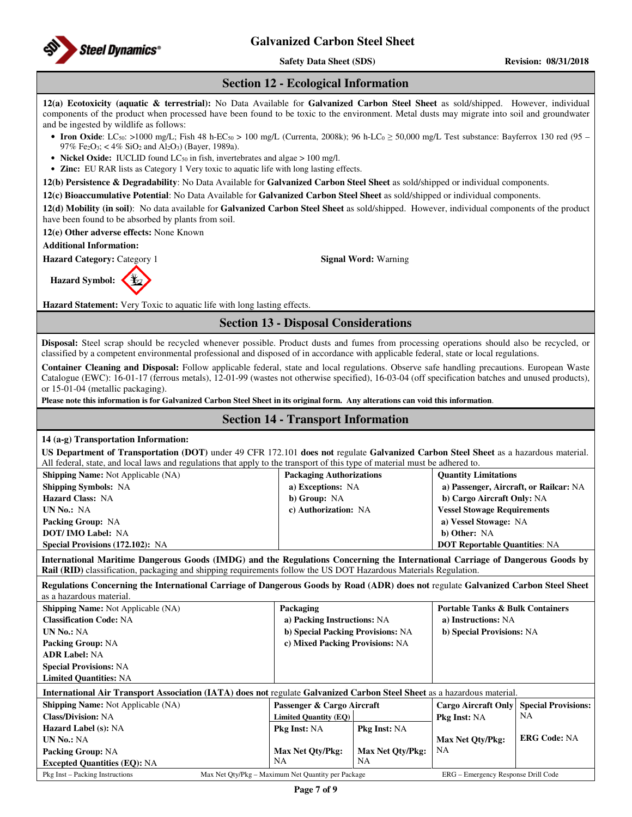

**Safety Data Sheet (SDS)** Revision: 08/31/2018

### **Section 12 - Ecological Information**

**12(a) Ecotoxicity (aquatic & terrestrial):** No Data Available for **Galvanized Carbon Steel Sheet** as sold/shipped. However, individual components of the product when processed have been found to be toxic to the environment. Metal dusts may migrate into soil and groundwater and be ingested by wildlife as follows:

- **Iron Oxide**: LC<sub>50</sub>: >1000 mg/L; Fish 48 h-EC<sub>50</sub> > 100 mg/L (Currenta, 2008k); 96 h-LC<sub>0</sub> ≥ 50,000 mg/L Test substance: Bayferrox 130 red (95 97% Fe<sub>2</sub>O<sub>3</sub>; < 4% SiO<sub>2</sub> and Al<sub>2</sub>O<sub>3</sub>) (Bayer, 1989a).
- **Nickel Oxide:** IUCLID found LC<sub>50</sub> in fish, invertebrates and algae > 100 mg/l.
- **Zinc:** EU RAR lists as Category 1 Very toxic to aquatic life with long lasting effects.

**12(b) Persistence & Degradability**: No Data Available for **Galvanized Carbon Steel Sheet** as sold/shipped or individual components.

**12(c) Bioaccumulative Potential**: No Data Available for **Galvanized Carbon Steel Sheet** as sold/shipped or individual components.

**12(d) Mobility (in soil)**: No data available for **Galvanized Carbon Steel Sheet** as sold/shipped. However, individual components of the product have been found to be absorbed by plants from soil.

**12(e) Other adverse effects:** None Known

**Additional Information:** 

**Hazard Category:** Category 1 **Signal Word:** Warning

**Hazard Symbol:** 

**Hazard Statement:** Very Toxic to aquatic life with long lasting effects.

### **Section 13 - Disposal Considerations**

**Disposal:** Steel scrap should be recycled whenever possible. Product dusts and fumes from processing operations should also be recycled, or classified by a competent environmental professional and disposed of in accordance with applicable federal, state or local regulations.

**Container Cleaning and Disposal:** Follow applicable federal, state and local regulations. Observe safe handling precautions. European Waste Catalogue (EWC): 16-01-17 (ferrous metals), 12-01-99 (wastes not otherwise specified), 16-03-04 (off specification batches and unused products), or 15-01-04 (metallic packaging).

**Please note this information is for Galvanized Carbon Steel Sheet in its original form. Any alterations can void this information**.

### **Section 14 - Transport Information**

### **14 (a-g) Transportation Information:**

**US Department of Transportation (DOT)** under 49 CFR 172.101 **does not** regulate **Galvanized Carbon Steel Sheet** as a hazardous material. All federal, state, and local laws and regulations that apply to the transport of this type of material must be adhered to.

| <b>Shipping Name:</b> Not Applicable (NA) | <b>Packaging Authorizations</b> | <b>Quantity Limitations</b>            |
|-------------------------------------------|---------------------------------|----------------------------------------|
| <b>Shipping Symbols: NA</b>               | a) Exceptions: NA               | a) Passenger, Aircraft, or Railcar: NA |
| <b>Hazard Class: NA</b>                   | b) Group: NA                    | b) Cargo Aircraft Only: NA             |
| UN No.: NA                                | c) Authorization: NA            | <b>Vessel Stowage Requirements</b>     |
| <b>Packing Group: NA</b>                  |                                 | a) Vessel Stowage: NA                  |
| <b>DOT/IMO Label: NA</b>                  |                                 | b) Other: NA                           |
| <b>Special Provisions (172.102): NA</b>   |                                 | <b>DOT Reportable Quantities: NA</b>   |

**International Maritime Dangerous Goods (IMDG) and the Regulations Concerning the International Carriage of Dangerous Goods by Rail (RID)** classification, packaging and shipping requirements follow the US DOT Hazardous Materials Regulation.

**Regulations Concerning the International Carriage of Dangerous Goods by Road (ADR) does not** regulate **Galvanized Carbon Steel Sheet** as a hazardous material.

| <b>Shipping Name:</b> Not Applicable (NA)                                                                               | Packaging                                          |                             | <b>Portable Tanks &amp; Bulk Containers</b> |                            |  |
|-------------------------------------------------------------------------------------------------------------------------|----------------------------------------------------|-----------------------------|---------------------------------------------|----------------------------|--|
| <b>Classification Code: NA</b>                                                                                          |                                                    | a) Packing Instructions: NA |                                             | a) Instructions: NA        |  |
| <b>UN No.: NA</b>                                                                                                       | b) Special Packing Provisions: NA                  |                             | b) Special Provisions: NA                   |                            |  |
| <b>Packing Group: NA</b>                                                                                                | c) Mixed Packing Provisions: NA                    |                             |                                             |                            |  |
| <b>ADR Label: NA</b>                                                                                                    |                                                    |                             |                                             |                            |  |
| <b>Special Provisions: NA</b>                                                                                           |                                                    |                             |                                             |                            |  |
| <b>Limited Quantities: NA</b>                                                                                           |                                                    |                             |                                             |                            |  |
| International Air Transport Association (IATA) does not regulate Galvanized Carbon Steel Sheet as a hazardous material. |                                                    |                             |                                             |                            |  |
| <b>Shipping Name:</b> Not Applicable (NA)                                                                               | Passenger & Cargo Aircraft                         |                             | <b>Cargo Aircraft Only</b>                  | <b>Special Provisions:</b> |  |
| <b>Class/Division: NA</b>                                                                                               | <b>Limited Quantity (EQ)</b>                       |                             | <b>Pkg Inst: NA</b>                         | NA                         |  |
| <b>Hazard Label (s): NA</b>                                                                                             | <b>Pkg Inst: NA</b>                                | <b>Pkg Inst: NA</b>         |                                             |                            |  |
| <b>UN No.: NA</b>                                                                                                       |                                                    |                             | Max Net Qty/Pkg:                            | <b>ERG Code: NA</b>        |  |
| <b>Packing Group: NA</b>                                                                                                | Max Net Qty/Pkg:                                   | Max Net Oty/Pkg:            | NA                                          |                            |  |
| <b>Excepted Quantities (EQ): NA</b>                                                                                     | NA                                                 | NA                          |                                             |                            |  |
| Pkg Inst – Packing Instructions                                                                                         | Max Net Oty/Pkg – Maximum Net Quantity per Package |                             | ERG – Emergency Response Drill Code         |                            |  |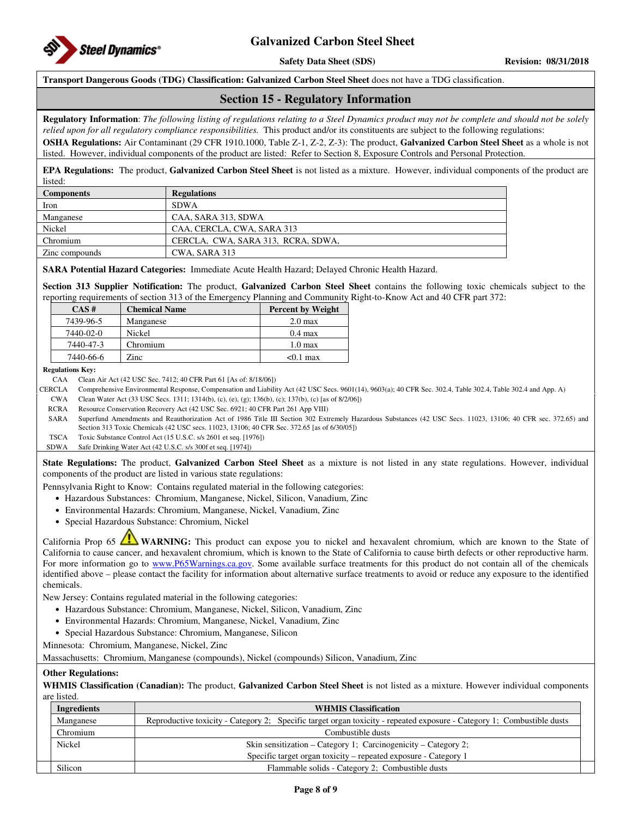

**Safety Data Sheet (SDS)** Revision: 08/31/2018

**Transport Dangerous Goods (TDG) Classification: Galvanized Carbon Steel Sheet** does not have a TDG classification.

### **Section 15 - Regulatory Information**

**Regulatory Information**: *The following listing of regulations relating to a Steel Dynamics product may not be complete and should not be solely relied upon for all regulatory compliance responsibilities.* This product and/or its constituents are subject to the following regulations:

**OSHA Regulations:** Air Contaminant (29 CFR 1910.1000, Table Z-1, Z-2, Z-3): The product, **Galvanized Carbon Steel Sheet** as a whole is not listed. However, individual components of the product are listed: Refer to Section 8, Exposure Controls and Personal Protection.

**EPA Regulations:** The product, **Galvanized Carbon Steel Sheet** is not listed as a mixture. However, individual components of the product are listed:

| <b>Components</b> | <b>Regulations</b>                 |
|-------------------|------------------------------------|
| Iron              | <b>SDWA</b>                        |
| Manganese         | CAA, SARA 313, SDWA                |
| Nickel            | CAA, CERCLA, CWA, SARA 313         |
| Chromium          | CERCLA, CWA, SARA 313, RCRA, SDWA, |
| Zinc compounds    | CWA. SARA 313                      |

#### **SARA Potential Hazard Categories:** Immediate Acute Health Hazard; Delayed Chronic Health Hazard.

**Section 313 Supplier Notification:** The product, **Galvanized Carbon Steel Sheet** contains the following toxic chemicals subject to the reporting requirements of section 313 of the Emergency Planning and Community Right-to-Know Act and 40 CFR part 372:

| CAS#      | <b>Chemical Name</b> | <b>Percent by Weight</b> |
|-----------|----------------------|--------------------------|
| 7439-96-5 | Manganese            | $2.0 \text{ max}$        |
| 7440-02-0 | Nickel               | $0.4 \text{ max}$        |
| 7440-47-3 | Chromium             | $1.0 \text{ max}$        |
| 7440-66-6 | Zinc                 | $< 0.1$ max              |

**Regulations Key:** 

CAA Clean Air Act (42 USC Sec. 7412; 40 CFR Part 61 [As of: 8/18/06])

CERCLA Comprehensive Environmental Response, Compensation and Liability Act (42 USC Secs. 9601(14), 9603(a); 40 CFR Sec. 302.4, Table 302.4, Table 302.4 and App. A)

CWA Clean Water Act (33 USC Secs. 1311; 1314(b), (c), (e), (g); 136(b), (c); 137(b), (c) [as of 8/2/06])

RCRA Resource Conservation Recovery Act (42 USC Sec. 6921; 40 CFR Part 261 App VIII)

SARA Superfund Amendments and Reauthorization Act of 1986 Title III Section 302 Extremely Hazardous Substances (42 USC Secs. 11023, 13106; 40 CFR sec. 372.65) and Section 313 Toxic Chemicals (42 USC secs. 11023, 13106; 40 CFR Sec. 372.65 [as of 6/30/05])

TSCA Toxic Substance Control Act (15 U.S.C. s/s 2601 et seq. [1976])

SDWA Safe Drinking Water Act (42 U.S.C. s/s 300f et seq. [1974])

**State Regulations:** The product, **Galvanized Carbon Steel Sheet** as a mixture is not listed in any state regulations. However, individual components of the product are listed in various state regulations:

Pennsylvania Right to Know: Contains regulated material in the following categories:

- Hazardous Substances: Chromium, Manganese, Nickel, Silicon, Vanadium, Zinc
- Environmental Hazards: Chromium, Manganese, Nickel, Vanadium, Zinc
- Special Hazardous Substance: Chromium, Nickel

California Prop 65 **WARNING:** This product can expose you to nickel and hexavalent chromium, which are known to the State of California to cause cancer, and hexavalent chromium, which is known to the State of California to cause birth defects or other reproductive harm. For more information go to www.P65Warnings.ca.gov. Some available surface treatments for this product do not contain all of the chemicals identified above – please contact the facility for information about alternative surface treatments to avoid or reduce any exposure to the identified chemicals.

New Jersey: Contains regulated material in the following categories:

- Hazardous Substance: Chromium, Manganese, Nickel, Silicon, Vanadium, Zinc
- Environmental Hazards: Chromium, Manganese, Nickel, Vanadium, Zinc
- Special Hazardous Substance: Chromium, Manganese, Silicon

Minnesota: Chromium, Manganese, Nickel, Zinc

Massachusetts: Chromium, Manganese (compounds), Nickel (compounds) Silicon, Vanadium, Zinc

#### **Other Regulations:**

**WHMIS Classification (Canadian):** The product, **Galvanized Carbon Steel Sheet** is not listed as a mixture. However individual components are listed.

| Ingredients | <b>WHMIS Classification</b>                                                                                            |
|-------------|------------------------------------------------------------------------------------------------------------------------|
| Manganese   | Reproductive toxicity - Category 2; Specific target organ toxicity - repeated exposure - Category 1; Combustible dusts |
| Chromium    | Combustible dusts                                                                                                      |
| Nickel      | Skin sensitization – Category 1; Carcinogenicity – Category 2;                                                         |
|             | Specific target organ toxicity – repeated exposure - Category 1                                                        |
| Silicon     | Flammable solids - Category 2; Combustible dusts                                                                       |